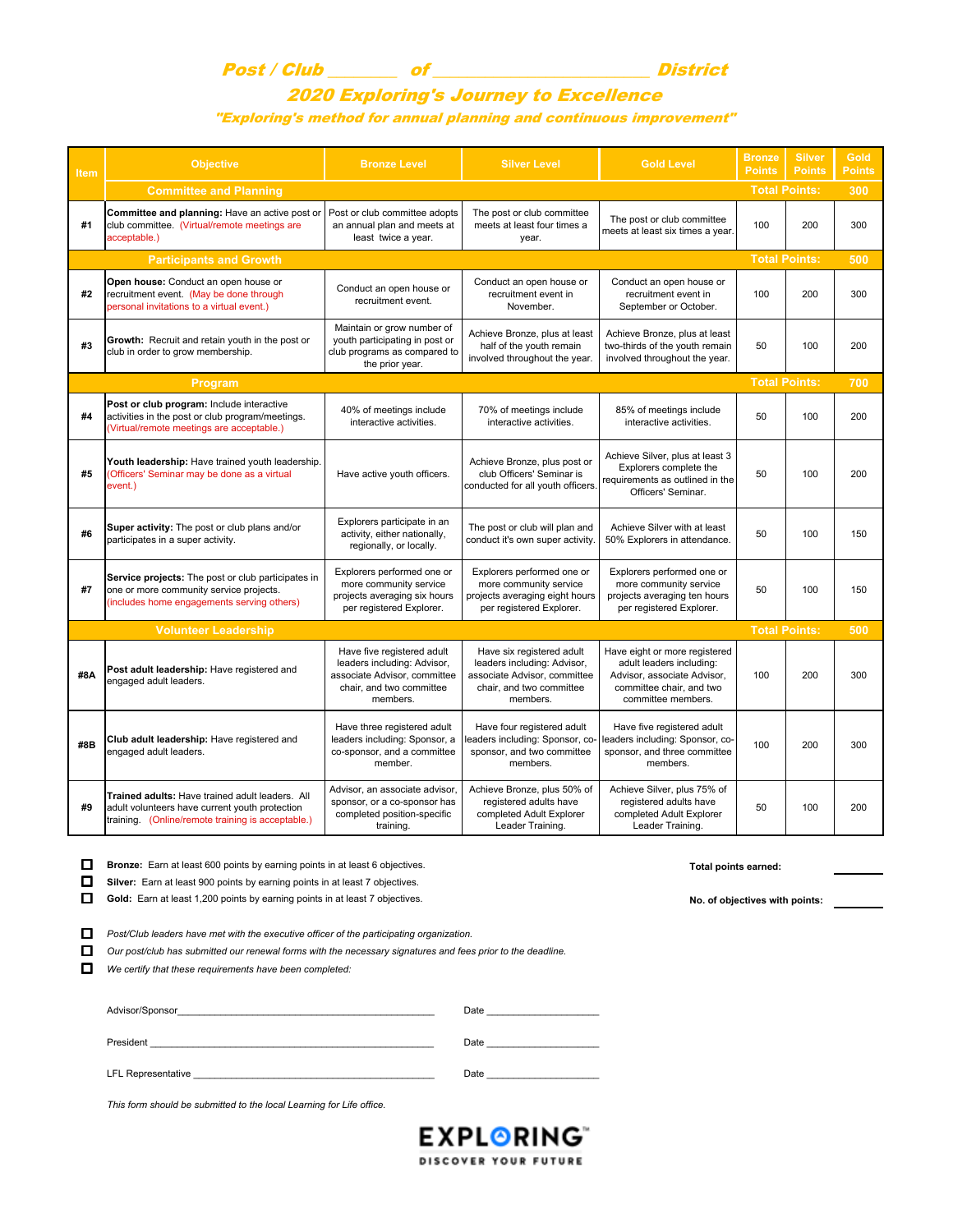## Post / Club \_\_\_\_\_\_\_\_ of \_\_\_\_\_\_\_\_\_\_\_\_\_\_\_\_\_\_\_\_\_\_\_\_\_ District

## 2020 Exploring's Journey to Excellence "Exploring's method for annual planning and continuous improvement"

| Item | <b>Objective</b>                                                                                                                                       | <b>Bronze Level</b>                                                                                                               | <b>Silver Level</b>                                                                                                              | <b>Gold Level</b>                                                                                                                          | <b>Bronze</b><br><b>Points</b> | <b>Silver</b><br><b>Points</b> | <b>Gold</b><br><b>Points</b> |
|------|--------------------------------------------------------------------------------------------------------------------------------------------------------|-----------------------------------------------------------------------------------------------------------------------------------|----------------------------------------------------------------------------------------------------------------------------------|--------------------------------------------------------------------------------------------------------------------------------------------|--------------------------------|--------------------------------|------------------------------|
|      | <b>Committee and Planning</b>                                                                                                                          |                                                                                                                                   |                                                                                                                                  |                                                                                                                                            |                                | <b>Total Points:</b>           | 300                          |
| #1   | Committee and planning: Have an active post or<br>club committee. (Virtual/remote meetings are<br>acceptable.)                                         | Post or club committee adopts<br>an annual plan and meets at<br>least twice a year.                                               | The post or club committee<br>meets at least four times a<br>year.                                                               | The post or club committee<br>meets at least six times a year.                                                                             | 100                            | 200                            | 300                          |
|      | <b>Participants and Growth</b>                                                                                                                         |                                                                                                                                   |                                                                                                                                  |                                                                                                                                            |                                | <b>Total Points:</b>           | 500                          |
| #2   | Open house: Conduct an open house or<br>recruitment event. (May be done through<br>personal invitations to a virtual event.)                           | Conduct an open house or<br>recruitment event.                                                                                    | Conduct an open house or<br>recruitment event in<br>November.                                                                    | Conduct an open house or<br>recruitment event in<br>September or October.                                                                  | 100                            | 200                            | 300                          |
| #3   | Growth: Recruit and retain youth in the post or<br>club in order to grow membership.                                                                   | Maintain or grow number of<br>youth participating in post or<br>club programs as compared to<br>the prior year.                   | Achieve Bronze, plus at least<br>half of the youth remain<br>involved throughout the year.                                       | Achieve Bronze, plus at least<br>two-thirds of the youth remain<br>involved throughout the year.                                           | 50                             | 100                            | 200                          |
|      | <b>Total Points:</b><br>700<br>Program                                                                                                                 |                                                                                                                                   |                                                                                                                                  |                                                                                                                                            |                                |                                |                              |
| #4   | Post or club program: Include interactive<br>activities in the post or club program/meetings.<br>(Virtual/remote meetings are acceptable.)             | 40% of meetings include<br>interactive activities.                                                                                | 70% of meetings include<br>interactive activities.                                                                               | 85% of meetings include<br>interactive activities.                                                                                         | 50                             | 100                            | 200                          |
| #5   | Youth leadership: Have trained youth leadership.<br>(Officers' Seminar may be done as a virtual<br>event.)                                             | Have active youth officers.                                                                                                       | Achieve Bronze, plus post or<br>club Officers' Seminar is<br>conducted for all youth officers.                                   | Achieve Silver, plus at least 3<br>Explorers complete the<br>requirements as outlined in the<br>Officers' Seminar.                         | 50                             | 100                            | 200                          |
| #6   | Super activity: The post or club plans and/or<br>participates in a super activity.                                                                     | Explorers participate in an<br>activity, either nationally,<br>regionally, or locally.                                            | The post or club will plan and<br>conduct it's own super activity                                                                | Achieve Silver with at least<br>50% Explorers in attendance.                                                                               | 50                             | 100                            | 150                          |
| #7   | Service projects: The post or club participates in<br>one or more community service projects.<br>(includes home engagements serving others)            | Explorers performed one or<br>more community service<br>projects averaging six hours<br>per registered Explorer.                  | Explorers performed one or<br>more community service<br>projects averaging eight hours<br>per registered Explorer.               | Explorers performed one or<br>more community service<br>projects averaging ten hours<br>per registered Explorer.                           | 50                             | 100                            | 150                          |
|      | <b>Volunteer Leadership</b>                                                                                                                            |                                                                                                                                   |                                                                                                                                  |                                                                                                                                            |                                | <b>Total Points:</b>           | 500                          |
| #8A  | Post adult leadership: Have registered and<br>engaged adult leaders.                                                                                   | Have five registered adult<br>leaders including: Advisor,<br>associate Advisor, committee<br>chair, and two committee<br>members. | Have six registered adult<br>leaders including: Advisor,<br>associate Advisor, committee<br>chair, and two committee<br>members. | Have eight or more registered<br>adult leaders including:<br>Advisor, associate Advisor,<br>committee chair, and two<br>committee members. | 100                            | 200                            | 300                          |
| #8B  | Club adult leadership: Have registered and<br>engaged adult leaders.                                                                                   | Have three registered adult<br>leaders including: Sponsor, a<br>co-sponsor, and a committee<br>member.                            | Have four registered adult<br>eaders including: Sponsor, co-<br>sponsor, and two committee<br>members.                           | Have five registered adult<br>leaders including: Sponsor, co-<br>sponsor, and three committee<br>members.                                  | 100                            | 200                            | 300                          |
| #9   | Trained adults: Have trained adult leaders. All<br>adult volunteers have current youth protection<br>training. (Online/remote training is acceptable.) | Advisor, an associate advisor,<br>sponsor, or a co-sponsor has<br>completed position-specific<br>training.                        | Achieve Bronze, plus 50% of<br>registered adults have<br>completed Adult Explorer<br>Leader Training.                            | Achieve Silver, plus 75% of<br>registered adults have<br>completed Adult Explorer<br>Leader Training.                                      | 50                             | 100                            | 200                          |
| П    | Bronze: Earn at least 600 points by earning points in at least 6 objectives.                                                                           |                                                                                                                                   |                                                                                                                                  | Total points earned:                                                                                                                       |                                |                                |                              |

**Silver:** Earn at least 900 points by earning points in at least 7 objectives.

Gold: Earn at least 1,200 points by earning points in at least 7 objectives.<br> **D** Gold: Earn at least 1,200 points by earning points in at least 7 objectives.

 $\Box$  Post/Club leaders have met with the executive officer of the participating organization.

Our post/club has submitted our renewal forms with the necessary signatures and fees prior to the deadline.

 $\Box$  We certify that these requirements have been completed:

| Advisor/Sponsor           | Date |
|---------------------------|------|
| President                 | Date |
| <b>LFL Representative</b> | Date |

*This form should be submitted to the local Learning for Life office.*